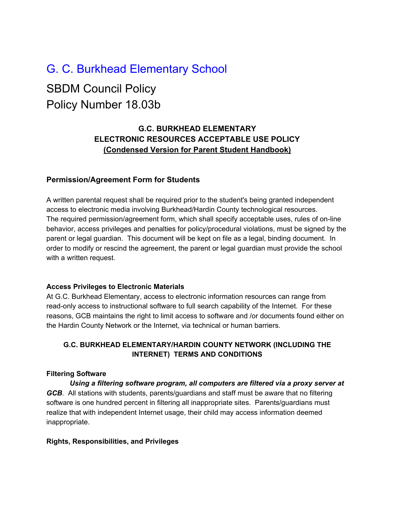# G. C. Burkhead Elementary School SBDM Council Policy Policy Number 18.03b

# **G.C. BURKHEAD ELEMENTARY ELECTRONIC RESOURCES ACCEPTABLE USE POLICY (Condensed Version for Parent Student Handbook)**

# **Permission/Agreement Form for Students**

A written parental request shall be required prior to the student's being granted independent access to electronic media involving Burkhead/Hardin County technological resources. The required permission/agreement form, which shall specify acceptable uses, rules of on-line behavior, access privileges and penalties for policy/procedural violations, must be signed by the parent or legal guardian. This document will be kept on file as a legal, binding document. In order to modify or rescind the agreement, the parent or legal guardian must provide the school with a written request.

#### **Access Privileges to Electronic Materials**

At G.C. Burkhead Elementary, access to electronic information resources can range from read-only access to instructional software to full search capability of the Internet. For these reasons, GCB maintains the right to limit access to software and /or documents found either on the Hardin County Network or the Internet, via technical or human barriers.

# **G.C. BURKHEAD ELEMENTARY/HARDIN COUNTY NETWORK (INCLUDING THE INTERNET) TERMS AND CONDITIONS**

# **Filtering Software**

*Using a filtering software program, all computers are filtered via a proxy server at GCB*. All stations with students, parents/guardians and staff must be aware that no filtering software is one hundred percent in filtering all inappropriate sites. Parents/guardians must realize that with independent Internet usage, their child may access information deemed inappropriate.

# **Rights, Responsibilities, and Privileges**